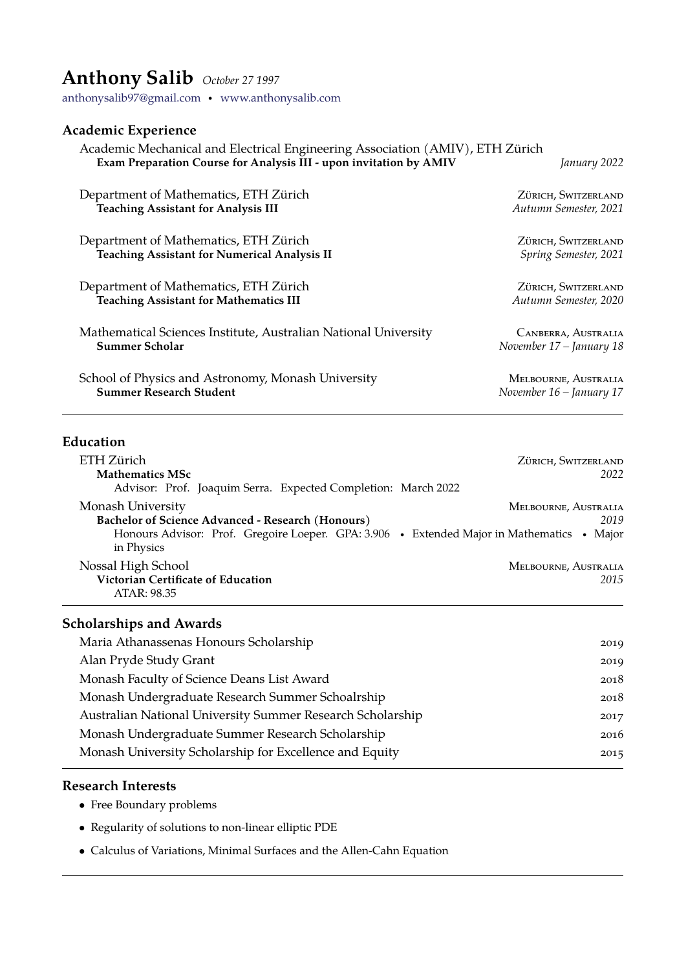# **Anthony Salib** *October 27 1997*

[anthonysalib97@gmail.com](mailto:anthonysalib97@gmail.com) · <www.anthonysalib.com>

#### **Academic Experience**

#### Academic Mechanical and Electrical Engineering Association (AMIV), ETH Zürich **Exam Preparation Course for Analysis III - upon invitation by AMIV** *January 2022*

Department of Mathematics, ETH Zürich <sup>ZÜRICH</sup>, SWITZERLAND<br>
Teaching Assistant for Analysis III *Autumn Semester*, 2021 **Teaching Assistant for Analysis III** Department of Mathematics, ETH Zürich in a Zürich in Zürich, Switzerland **Teaching Assistant for Numerical Analysis II** *Spring Semester, 2021* Department of Mathematics, ETH Zurich ¨ Zurich, Switzerland ¨ **Teaching Assistant for Mathematics III** *Autumn Semester, 2020* Mathematical Sciences Institute, Australian National University CANBERRA, AUSTRALIA<br>Summer Scholar Movember 17 – January 18 **Summer Scholar** *November 17 – January 18* School of Physics and Astronomy, Monash University MELBOURNE, AUSTRALIA **Summer Research Student** *November 16 – January 17*

#### **Education**

| ETH Zürich                                                                                               | ZÜRICH, SWITZERLAND  |
|----------------------------------------------------------------------------------------------------------|----------------------|
| <b>Mathematics MSc</b>                                                                                   | 2022                 |
| Advisor: Prof. Joaquim Serra. Expected Completion: March 2022                                            |                      |
| Monash University                                                                                        | MELBOURNE, AUSTRALIA |
| <b>Bachelor of Science Advanced - Research (Honours)</b>                                                 | 2019                 |
| Honours Advisor: Prof. Gregoire Loeper. GPA: 3.906 • Extended Major in Mathematics • Major<br>in Physics |                      |
| Nossal High School                                                                                       | MELBOURNE, AUSTRALIA |
| Victorian Certificate of Education<br>ATAR: 98.35                                                        | 2015                 |

#### **Scholarships and Awards**

| Maria Athanassenas Honours Scholarship                     | 2019 |
|------------------------------------------------------------|------|
| Alan Pryde Study Grant                                     | 2019 |
| Monash Faculty of Science Deans List Award                 | 2018 |
| Monash Undergraduate Research Summer Schoalrship           | 2018 |
| Australian National University Summer Research Scholarship | 2017 |
| Monash Undergraduate Summer Research Scholarship           | 2016 |
| Monash University Scholarship for Excellence and Equity    | 2015 |
|                                                            |      |

#### **Research Interests**

- Free Boundary problems
- Regularity of solutions to non-linear elliptic PDE
- Calculus of Variations, Minimal Surfaces and the Allen-Cahn Equation